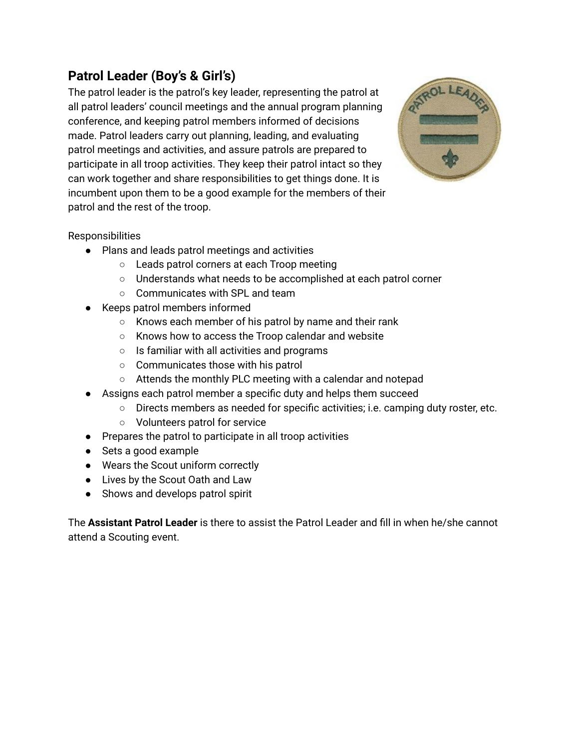## **Patrol Leader (Boy's & Girl's)**

The patrol leader is the patrol's key leader, representing the patrol at all patrol leaders' council meetings and the annual program planning conference, and keeping patrol members informed of decisions made. Patrol leaders carry out planning, leading, and evaluating patrol meetings and activities, and assure patrols are prepared to participate in all troop activities. They keep their patrol intact so they can work together and share responsibilities to get things done. It is incumbent upon them to be a good example for the members of their patrol and the rest of the troop.



## Responsibilities

- Plans and leads patrol meetings and activities
	- Leads patrol corners at each Troop meeting
	- Understands what needs to be accomplished at each patrol corner
	- Communicates with SPL and team
- Keeps patrol members informed
	- Knows each member of his patrol by name and their rank
	- Knows how to access the Troop calendar and website
	- Is familiar with all activities and programs
	- Communicates those with his patrol
	- Attends the monthly PLC meeting with a calendar and notepad
- Assigns each patrol member a specific duty and helps them succeed
	- Directs members as needed for specific activities; i.e. camping duty roster, etc.
	- Volunteers patrol for service
- Prepares the patrol to participate in all troop activities
- Sets a good example
- Wears the Scout uniform correctly
- Lives by the Scout Oath and Law
- Shows and develops patrol spirit

The **Assistant Patrol Leader** is there to assist the Patrol Leader and fill in when he/she cannot attend a Scouting event.